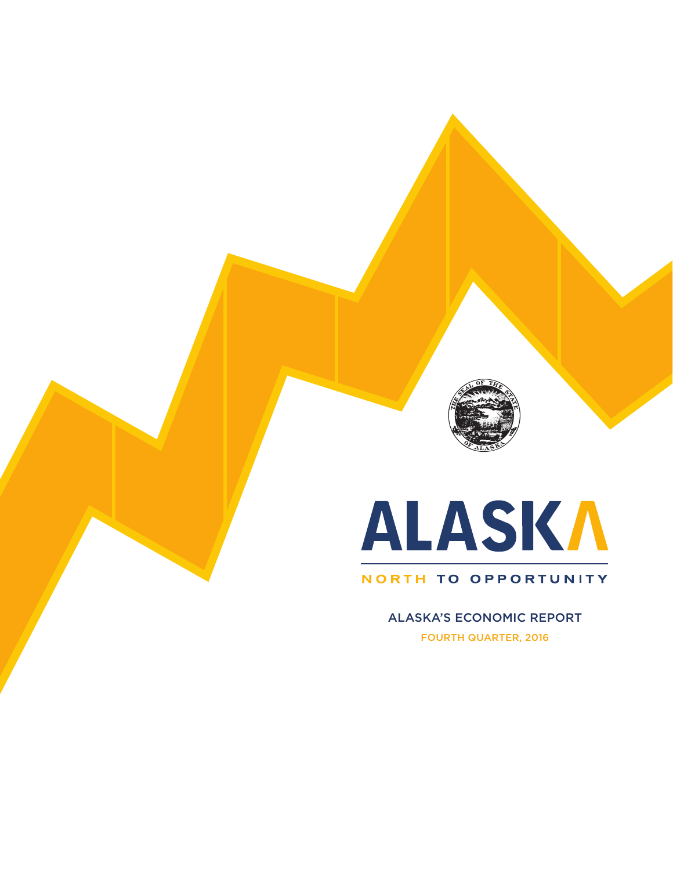

# ALASKA

### NORTH TO OPPORTUNITY

ALASKA'S ECONOMIC REPORT FOURTH QUARTER, 2016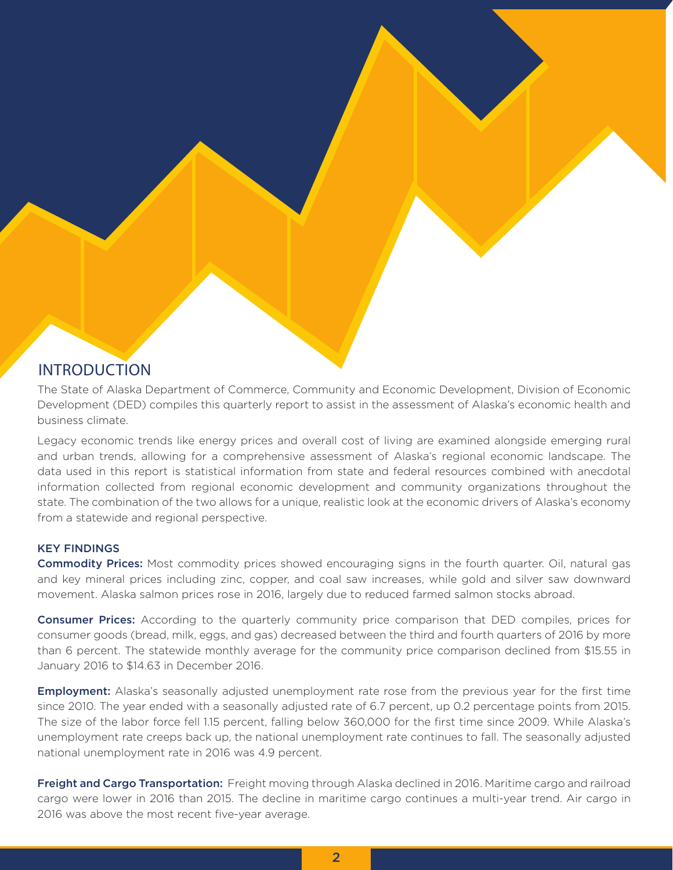### INTRODUCTION

The State of Alaska Department of Commerce, Community and Economic Development, Division of Economic Development (DED) compiles this quarterly report to assist in the assessment of Alaska's economic health and business climate.

Legacy economic trends like energy prices and overall cost of living are examined alongside emerging rural and urban trends, allowing for a comprehensive assessment of Alaska's regional economic landscape. The data used in this report is statistical information from state and federal resources combined with anecdotal information collected from regional economic development and community organizations throughout the state. The combination of the two allows for a unique, realistic look at the economic drivers of Alaska's economy from a statewide and regional perspective.

### KEY FINDINGS

**Commodity Prices:** Most commodity prices showed encouraging signs in the fourth quarter. Oil, natural gas and key mineral prices including zinc, copper, and coal saw increases, while gold and silver saw downward movement. Alaska salmon prices rose in 2016, largely due to reduced farmed salmon stocks abroad.

**Consumer Prices:** According to the quarterly community price comparison that DED compiles, prices for consumer goods (bread, milk, eggs, and gas) decreased between the third and fourth quarters of 2016 by more than 6 percent. The statewide monthly average for the community price comparison declined from \$15.55 in January 2016 to \$14.63 in December 2016.

**Employment:** Alaska's seasonally adjusted unemployment rate rose from the previous year for the first time since 2010. The year ended with a seasonally adjusted rate of 6.7 percent, up 0.2 percentage points from 2015. The size of the labor force fell 1.15 percent, falling below 360,000 for the first time since 2009. While Alaska's unemployment rate creeps back up, the national unemployment rate continues to fall. The seasonally adjusted national unemployment rate in 2016 was 4.9 percent.

Freight and Cargo Transportation: Freight moving through Alaska declined in 2016. Maritime cargo and railroad cargo were lower in 2016 than 2015. The decline in maritime cargo continues a multi-year trend. Air cargo in 2016 was above the most recent five-year average.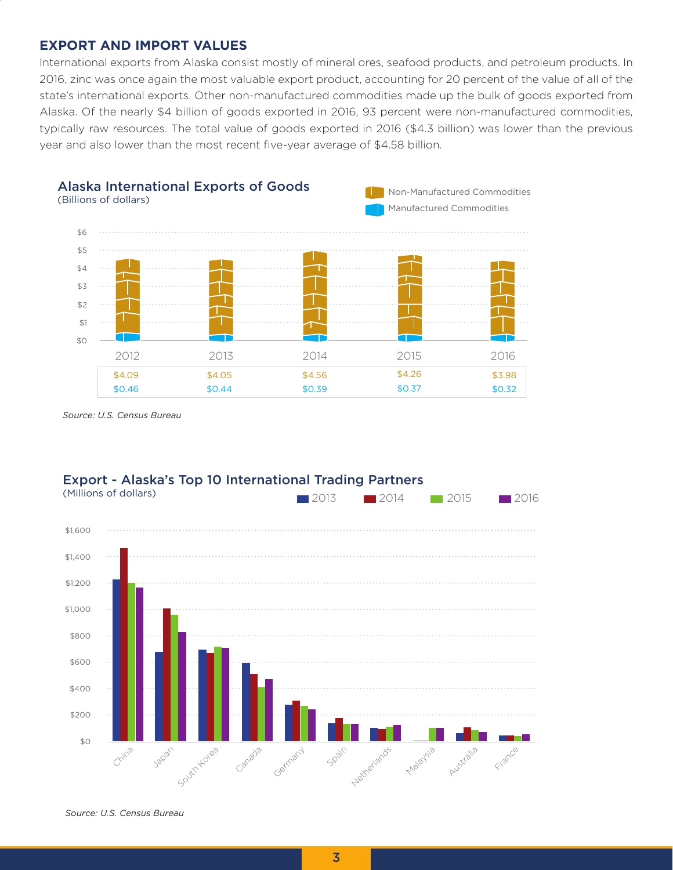### **EXPORT AND IMPORT VALUES**

International exports from Alaska consist mostly of mineral ores, seafood products, and petroleum products. In 2016, zinc was once again the most valuable export product, accounting for 20 percent of the value of all of the state's international exports. Other non-manufactured commodities made up the bulk of goods exported from Alaska. Of the nearly \$4 billion of goods exported in 2016, 93 percent were non-manufactured commodities, typically raw resources. The total value of goods exported in 2016 (\$4.3 billion) was lower than the previous year and also lower than the most recent five-year average of \$4.58 billion.



*Source: U.S. Census Bureau*



## Export - Alaska's Top 10 International Trading Partners

*Source: U.S. Census Bureau*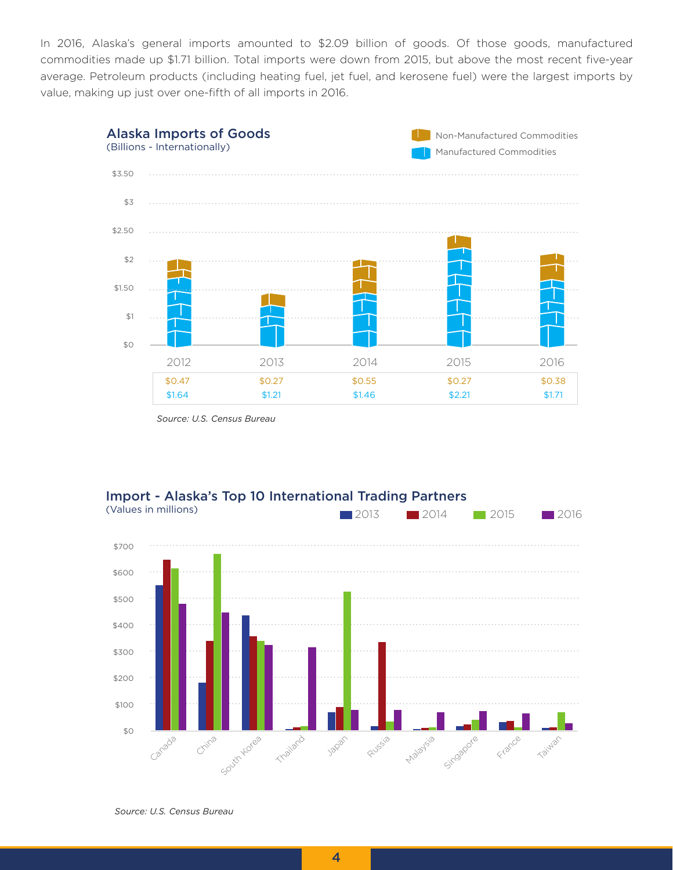In 2016, Alaska's general imports amounted to \$2.09 billion of goods. Of those goods, manufactured commodities made up \$1.71 billion. Total imports were down from 2015, but above the most recent five-year average. Petroleum products (including heating fuel, jet fuel, and kerosene fuel) were the largest imports by value, making up just over one-fifth of all imports in 2016.



*Source: U.S. Census Bureau* 





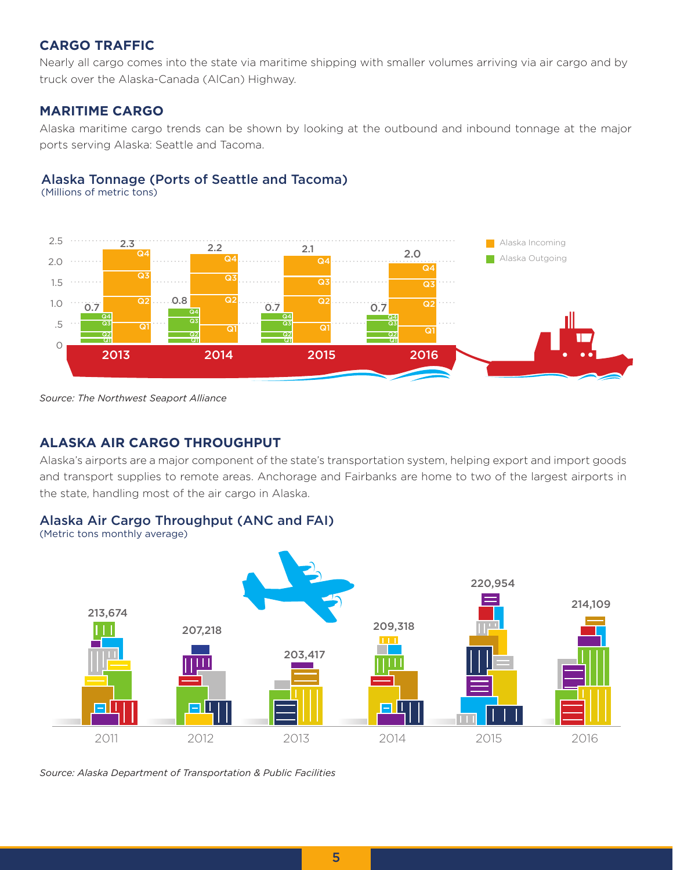### **CARGO TRAFFIC**

Nearly all cargo comes into the state via maritime shipping with smaller volumes arriving via air cargo and by truck over the Alaska-Canada (AlCan) Highway.

### **MARITIME CARGO**

Alaska maritime cargo trends can be shown by looking at the outbound and inbound tonnage at the major ports serving Alaska: Seattle and Tacoma.

### Alaska Tonnage (Ports of Seattle and Tacoma)

(Millions of metric tons)



*Source: The Northwest Seaport Alliance*

### **ALASKA AIR CARGO THROUGHPUT**

Alaska's airports are a major component of the state's transportation system, helping export and import goods and transport supplies to remote areas. Anchorage and Fairbanks are home to two of the largest airports in the state, handling most of the air cargo in Alaska.

### Alaska Air Cargo Throughput (ANC and FAI)

(Metric tons monthly average)



*Source: Alaska Department of Transportation & Public Facilities*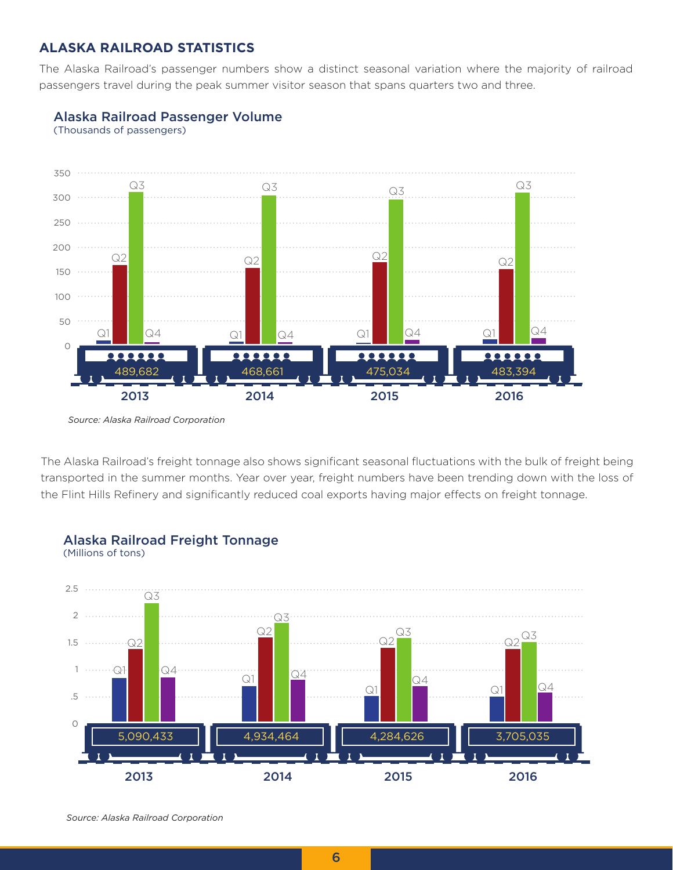### **ALASKA RAILROAD STATISTICS**

The Alaska Railroad's passenger numbers show a distinct seasonal variation where the majority of railroad passengers travel during the peak summer visitor season that spans quarters two and three.





The Alaska Railroad's freight tonnage also shows significant seasonal fluctuations with the bulk of freight being transported in the summer months. Year over year, freight numbers have been trending down with the loss of the Flint Hills Refinery and significantly reduced coal exports having major effects on freight tonnage.



### *Source: Alaska Railroad Corporation*

*Source: Alaska Railroad Corporation*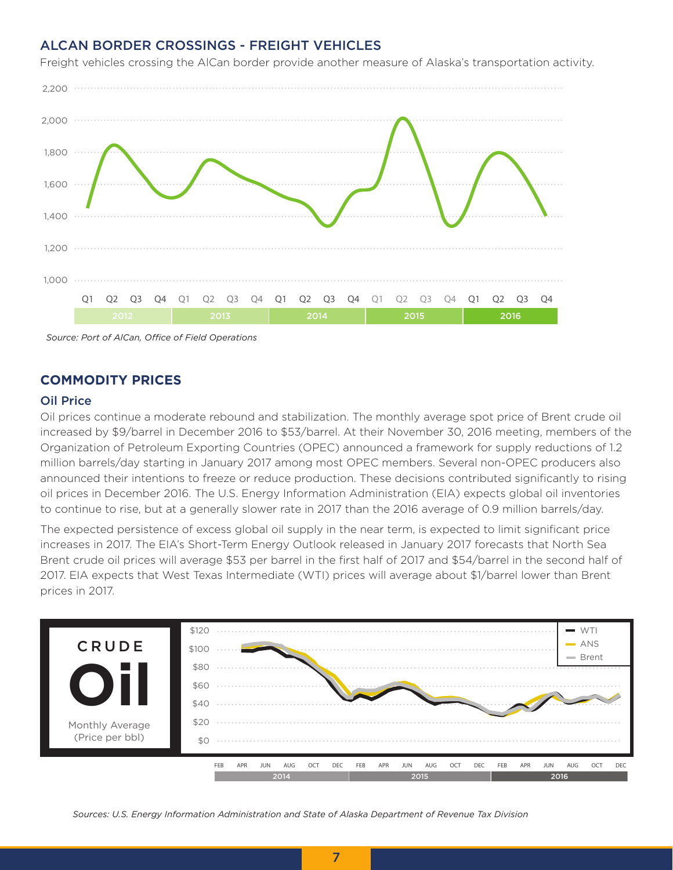### ALCAN BORDER CROSSINGS - FREIGHT VEHICLES



Freight vehicles crossing the AlCan border provide another measure of Alaska's transportation activity.

*Source: Port of AlCan, Office of Field Operations*

### **COMMODITY PRICES**

### Oil Price

Oil prices continue a moderate rebound and stabilization. The monthly average spot price of Brent crude oil increased by \$9/barrel in December 2016 to \$53/barrel. At their November 30, 2016 meeting, members of the Organization of Petroleum Exporting Countries (OPEC) announced a framework for supply reductions of 1.2 million barrels/day starting in January 2017 among most OPEC members. Several non-OPEC producers also announced their intentions to freeze or reduce production. These decisions contributed significantly to rising oil prices in December 2016. The U.S. Energy Information Administration (EIA) expects global oil inventories to continue to rise, but at a generally slower rate in 2017 than the 2016 average of 0.9 million barrels/day.

The expected persistence of excess global oil supply in the near term, is expected to limit significant price increases in 2017. The EIA's Short-Term Energy Outlook released in January 2017 forecasts that North Sea Brent crude oil prices will average \$53 per barrel in the first half of 2017 and \$54/barrel in the second half of 2017. EIA expects that West Texas Intermediate (WTI) prices will average about \$1/barrel lower than Brent prices in 2017.



*Sources: U.S. Energy Information Administration and State of Alaska Department of Revenue Tax Division*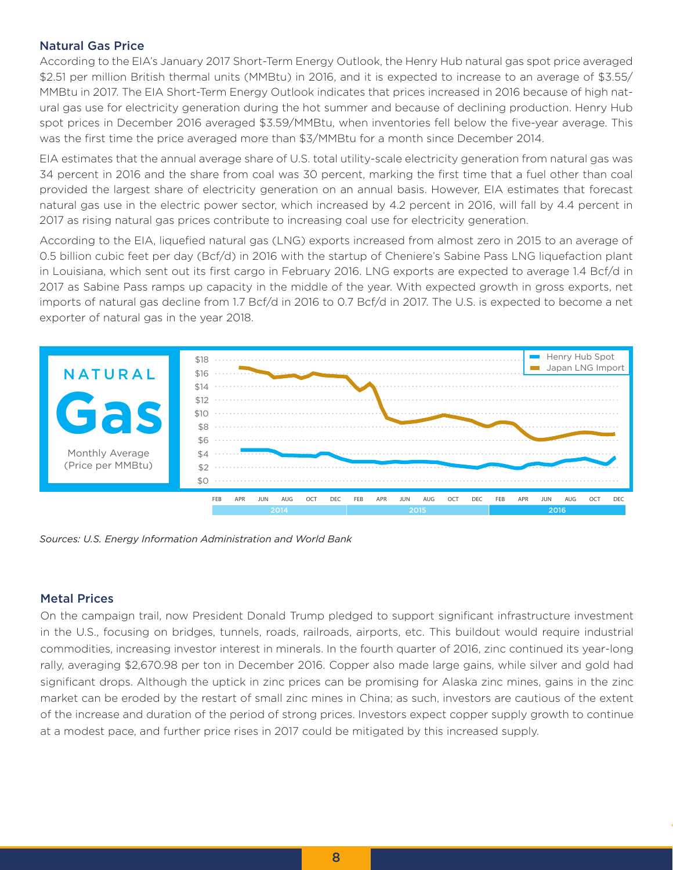### Natural Gas Price

According to the EIA's January 2017 Short-Term Energy Outlook, the Henry Hub natural gas spot price averaged \$2.51 per million British thermal units (MMBtu) in 2016, and it is expected to increase to an average of \$3.55/ MMBtu in 2017. The EIA Short-Term Energy Outlook indicates that prices increased in 2016 because of high natural gas use for electricity generation during the hot summer and because of declining production. Henry Hub spot prices in December 2016 averaged \$3.59/MMBtu, when inventories fell below the five-year average. This was the first time the price averaged more than \$3/MMBtu for a month since December 2014.

EIA estimates that the annual average share of U.S. total utility-scale electricity generation from natural gas was 34 percent in 2016 and the share from coal was 30 percent, marking the first time that a fuel other than coal provided the largest share of electricity generation on an annual basis. However, EIA estimates that forecast natural gas use in the electric power sector, which increased by 4.2 percent in 2016, will fall by 4.4 percent in 2017 as rising natural gas prices contribute to increasing coal use for electricity generation.

According to the EIA, liquefied natural gas (LNG) exports increased from almost zero in 2015 to an average of 0.5 billion cubic feet per day (Bcf/d) in 2016 with the startup of Cheniere's Sabine Pass LNG liquefaction plant in Louisiana, which sent out its first cargo in February 2016. LNG exports are expected to average 1.4 Bcf/d in 2017 as Sabine Pass ramps up capacity in the middle of the year. With expected growth in gross exports, net imports of natural gas decline from 1.7 Bcf/d in 2016 to 0.7 Bcf/d in 2017. The U.S. is expected to become a net exporter of natural gas in the year 2018.



*Sources: U.S. Energy Information Administration and World Bank*

### Metal Prices

On the campaign trail, now President Donald Trump pledged to support significant infrastructure investment in the U.S., focusing on bridges, tunnels, roads, railroads, airports, etc. This buildout would require industrial commodities, increasing investor interest in minerals. In the fourth quarter of 2016, zinc continued its year-long rally, averaging \$2,670.98 per ton in December 2016. Copper also made large gains, while silver and gold had significant drops. Although the uptick in zinc prices can be promising for Alaska zinc mines, gains in the zinc market can be eroded by the restart of small zinc mines in China; as such, investors are cautious of the extent of the increase and duration of the period of strong prices. Investors expect copper supply growth to continue at a modest pace, and further price rises in 2017 could be mitigated by this increased supply.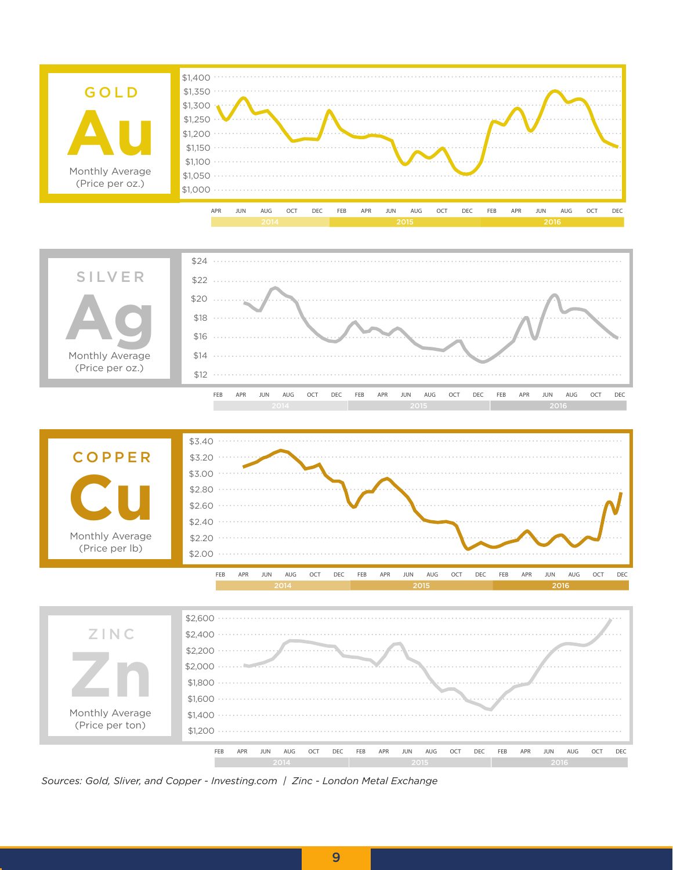







*Sources: Gold, Sliver, and Copper - Investing.com | Zinc - London Metal Exchange*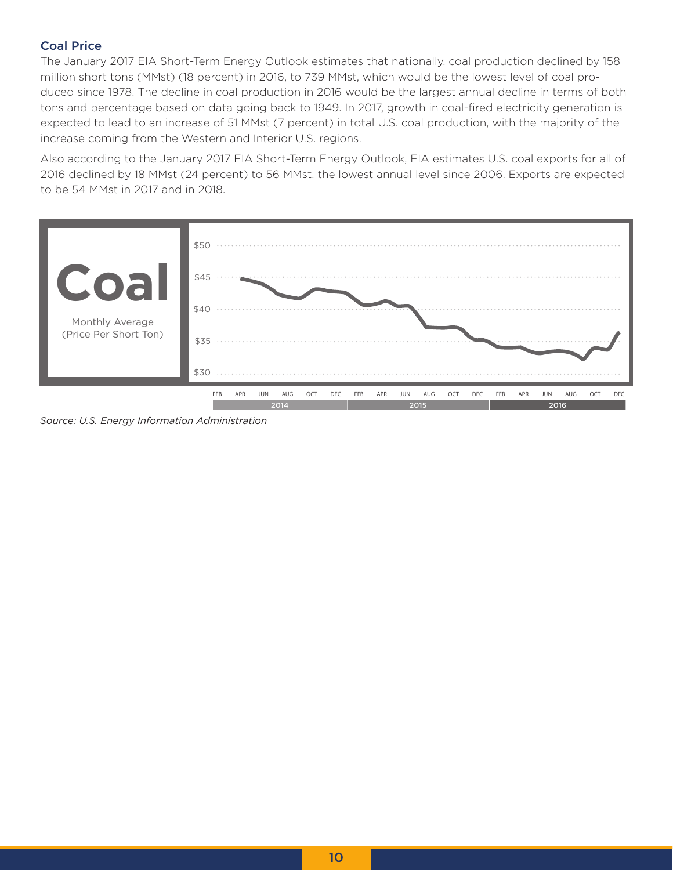### Coal Price

The January 2017 EIA Short-Term Energy Outlook estimates that nationally, coal production declined by 158 million short tons (MMst) (18 percent) in 2016, to 739 MMst, which would be the lowest level of coal produced since 1978. The decline in coal production in 2016 would be the largest annual decline in terms of both tons and percentage based on data going back to 1949. In 2017, growth in coal-fired electricity generation is expected to lead to an increase of 51 MMst (7 percent) in total U.S. coal production, with the majority of the increase coming from the Western and Interior U.S. regions.

Also according to the January 2017 EIA Short-Term Energy Outlook, EIA estimates U.S. coal exports for all of 2016 declined by 18 MMst (24 percent) to 56 MMst, the lowest annual level since 2006. Exports are expected to be 54 MMst in 2017 and in 2018.



*Source: U.S. Energy Information Administration*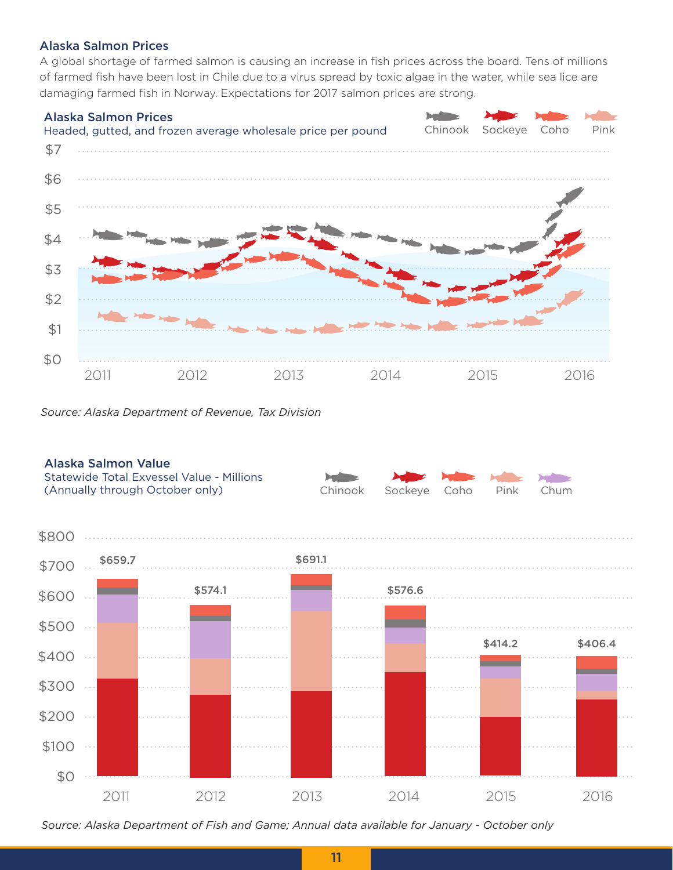### Alaska Salmon Prices

A global shortage of farmed salmon is causing an increase in fish prices across the board. Tens of millions of farmed fish have been lost in Chile due to a virus spread by toxic algae in the water, while sea lice are damaging farmed fish in Norway. Expectations for 2017 salmon prices are strong.



*Source: Alaska Department of Revenue, Tax Division*





*Source: Alaska Department of Fish and Game; Annual data available for January - October only*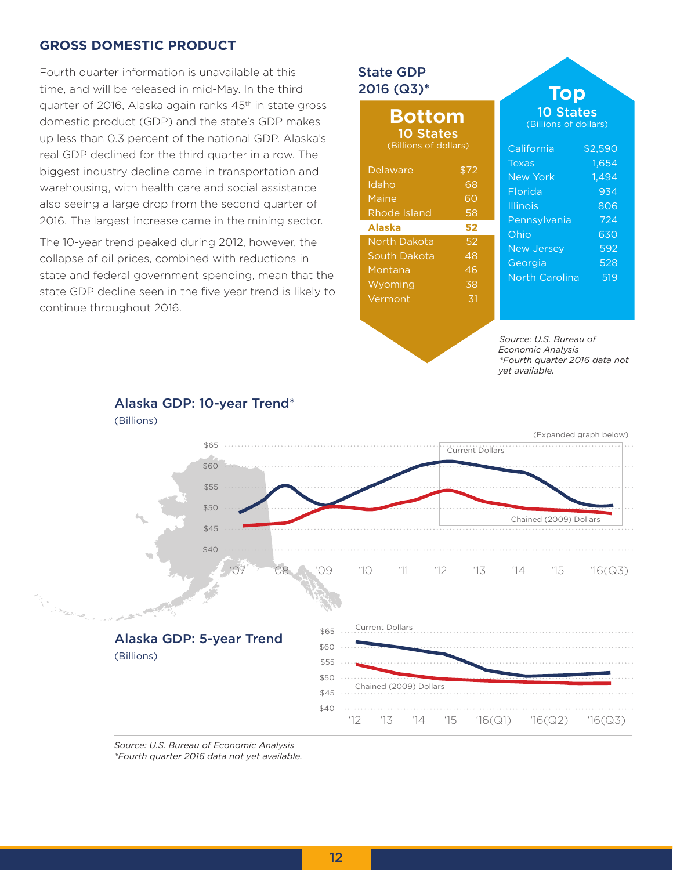### **GROSS DOMESTIC PRODUCT**

Fourth quarter information is unavailable at this time, and will be released in mid-May. In the third quarter of 2016, Alaska again ranks 45th in state gross domestic product (GDP) and the state's GDP makes up less than 0.3 percent of the national GDP. Alaska's real GDP declined for the third quarter in a row. The biggest industry decline came in transportation and warehousing, with health care and social assistance also seeing a large drop from the second quarter of 2016. The largest increase came in the mining sector.

The 10-year trend peaked during 2012, however, the collapse of oil prices, combined with reductions in state and federal government spending, mean that the state GDP decline seen in the five year trend is likely to continue throughout 2016.

### State GDP 2016 (Q3)\*

### **Bottom** 10 States

(Billions of dollars)

| Delaware            | \$72 |
|---------------------|------|
| Idaho               | 68   |
| Maine               | 60   |
| Rhode Island        | 58   |
| <b>Alaska</b>       | 52   |
| <b>North Dakota</b> | 52   |
| South Dakota        | 48   |
| Montana             | 46   |
| Wyoming             | 38   |
| Vermont             | 31   |
|                     |      |

### California \$2,590 (Billions of dollars) **Top** 10 States

| 1,494<br><b>New York</b><br>934<br>Florida<br>806<br><b>Illinois</b><br>Pennsylvania<br>724<br>630<br>Ohio<br>592<br><b>New Jersey</b><br>528<br>Georgia<br>519<br><b>North Carolina</b> | Texas | 1,654 |
|------------------------------------------------------------------------------------------------------------------------------------------------------------------------------------------|-------|-------|
|                                                                                                                                                                                          |       |       |
|                                                                                                                                                                                          |       |       |
|                                                                                                                                                                                          |       |       |
|                                                                                                                                                                                          |       |       |
|                                                                                                                                                                                          |       |       |
|                                                                                                                                                                                          |       |       |
|                                                                                                                                                                                          |       |       |
|                                                                                                                                                                                          |       |       |

*Source: U.S. Bureau of Economic Analysis \*Fourth quarter 2016 data not yet available.*



*Source: U.S. Bureau of Economic Analysis \*Fourth quarter 2016 data not yet available.*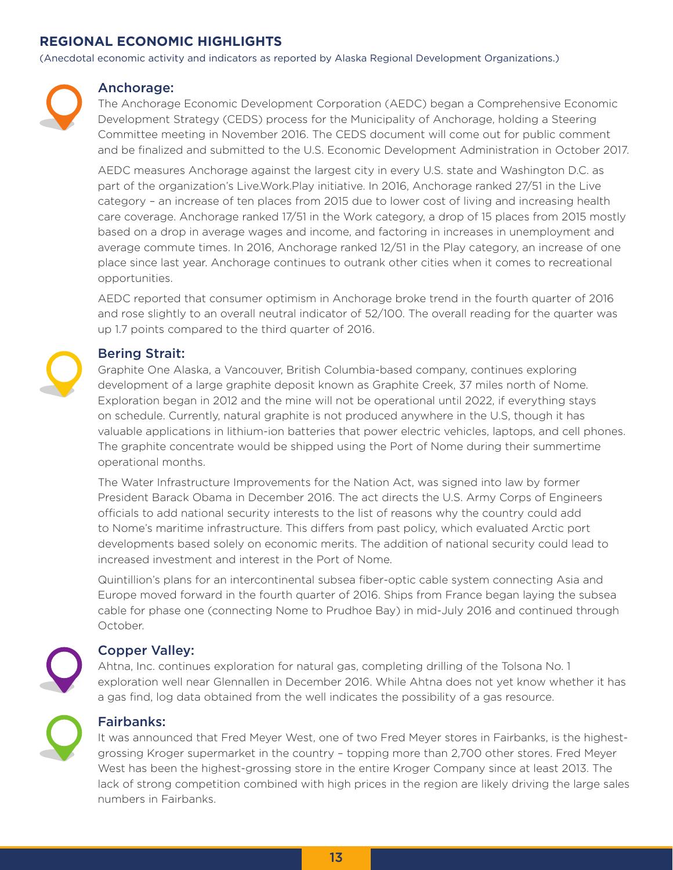### **REGIONAL ECONOMIC HIGHLIGHTS**

(Anecdotal economic activity and indicators as reported by Alaska Regional Development Organizations.)



### Anchorage:

The Anchorage Economic Development Corporation (AEDC) began a Comprehensive Economic Development Strategy (CEDS) process for the Municipality of Anchorage, holding a Steering Committee meeting in November 2016. The CEDS document will come out for public comment and be finalized and submitted to the U.S. Economic Development Administration in October 2017.

AEDC measures Anchorage against the largest city in every U.S. state and Washington D.C. as part of the organization's Live.Work.Play initiative. In 2016, Anchorage ranked 27/51 in the Live category – an increase of ten places from 2015 due to lower cost of living and increasing health care coverage. Anchorage ranked 17/51 in the Work category, a drop of 15 places from 2015 mostly based on a drop in average wages and income, and factoring in increases in unemployment and average commute times. In 2016, Anchorage ranked 12/51 in the Play category, an increase of one place since last year. Anchorage continues to outrank other cities when it comes to recreational opportunities.

AEDC reported that consumer optimism in Anchorage broke trend in the fourth quarter of 2016 and rose slightly to an overall neutral indicator of 52/100. The overall reading for the quarter was up 1.7 points compared to the third quarter of 2016.

### Bering Strait:

Graphite One Alaska, a Vancouver, British Columbia-based company, continues exploring development of a large graphite deposit known as Graphite Creek, 37 miles north of Nome. Exploration began in 2012 and the mine will not be operational until 2022, if everything stays on schedule. Currently, natural graphite is not produced anywhere in the U.S, though it has valuable applications in lithium-ion batteries that power electric vehicles, laptops, and cell phones. The graphite concentrate would be shipped using the Port of Nome during their summertime operational months.

The Water Infrastructure Improvements for the Nation Act, was signed into law by former President Barack Obama in December 2016. The act directs the U.S. Army Corps of Engineers officials to add national security interests to the list of reasons why the country could add to Nome's maritime infrastructure. This differs from past policy, which evaluated Arctic port developments based solely on economic merits. The addition of national security could lead to increased investment and interest in the Port of Nome.

Quintillion's plans for an intercontinental subsea fiber-optic cable system connecting Asia and Europe moved forward in the fourth quarter of 2016. Ships from France began laying the subsea cable for phase one (connecting Nome to Prudhoe Bay) in mid-July 2016 and continued through October.

### Copper Valley:

Ahtna, Inc. continues exploration for natural gas, completing drilling of the Tolsona No. 1 exploration well near Glennallen in December 2016. While Ahtna does not yet know whether it has a gas find, log data obtained from the well indicates the possibility of a gas resource.



### Fairbanks:

It was announced that Fred Meyer West, one of two Fred Meyer stores in Fairbanks, is the highestgrossing Kroger supermarket in the country – topping more than 2,700 other stores. Fred Meyer West has been the highest-grossing store in the entire Kroger Company since at least 2013. The lack of strong competition combined with high prices in the region are likely driving the large sales numbers in Fairbanks.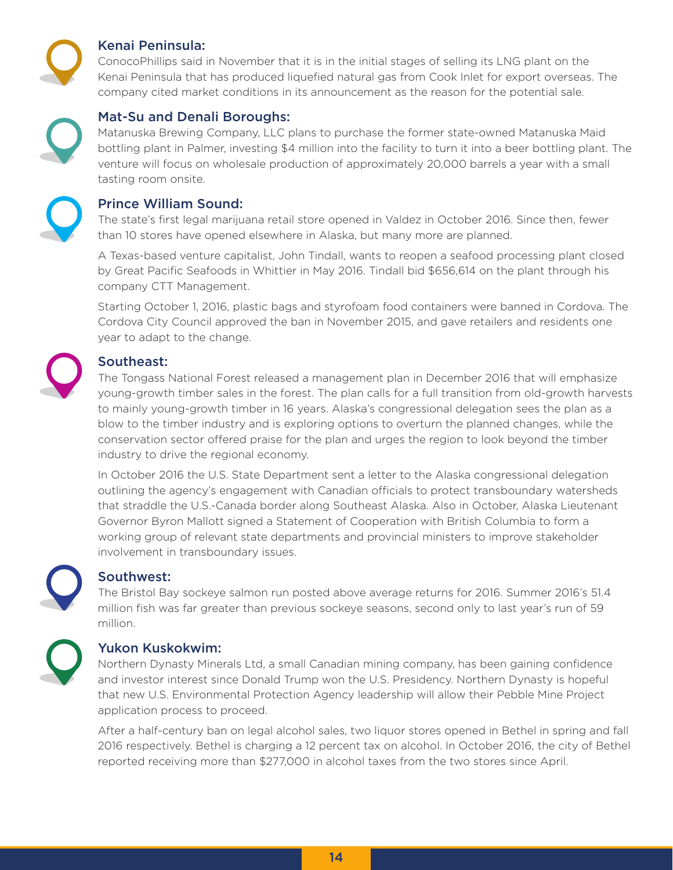

### Kenai Peninsula:

ConocoPhillips said in November that it is in the initial stages of selling its LNG plant on the Kenai Peninsula that has produced liquefied natural gas from Cook Inlet for export overseas. The company cited market conditions in its announcement as the reason for the potential sale.



### Mat-Su and Denali Boroughs:

Matanuska Brewing Company, LLC plans to purchase the former state-owned Matanuska Maid bottling plant in Palmer, investing \$4 million into the facility to turn it into a beer bottling plant. The venture will focus on wholesale production of approximately 20,000 barrels a year with a small tasting room onsite.



### Prince William Sound:

The state's first legal marijuana retail store opened in Valdez in October 2016. Since then, fewer than 10 stores have opened elsewhere in Alaska, but many more are planned.

A Texas-based venture capitalist, John Tindall, wants to reopen a seafood processing plant closed by Great Pacific Seafoods in Whittier in May 2016. Tindall bid \$656,614 on the plant through his company CTT Management.

Starting October 1, 2016, plastic bags and styrofoam food containers were banned in Cordova. The Cordova City Council approved the ban in November 2015, and gave retailers and residents one year to adapt to the change.



### Southeast:

The Tongass National Forest released a management plan in December 2016 that will emphasize young-growth timber sales in the forest. The plan calls for a full transition from old-growth harvests to mainly young-growth timber in 16 years. Alaska's congressional delegation sees the plan as a blow to the timber industry and is exploring options to overturn the planned changes, while the conservation sector offered praise for the plan and urges the region to look beyond the timber industry to drive the regional economy.

In October 2016 the U.S. State Department sent a letter to the Alaska congressional delegation outlining the agency's engagement with Canadian officials to protect transboundary watersheds that straddle the U.S.-Canada border along Southeast Alaska. Also in October, Alaska Lieutenant Governor Byron Mallott signed a Statement of Cooperation with British Columbia to form a working group of relevant state departments and provincial ministers to improve stakeholder involvement in transboundary issues.



### Southwest:

The Bristol Bay sockeye salmon run posted above average returns for 2016. Summer 2016's 51.4 million fish was far greater than previous sockeye seasons, second only to last year's run of 59 million.



### Yukon Kuskokwim:

Northern Dynasty Minerals Ltd, a small Canadian mining company, has been gaining confidence and investor interest since Donald Trump won the U.S. Presidency. Northern Dynasty is hopeful that new U.S. Environmental Protection Agency leadership will allow their Pebble Mine Project application process to proceed.

After a half-century ban on legal alcohol sales, two liquor stores opened in Bethel in spring and fall 2016 respectively. Bethel is charging a 12 percent tax on alcohol. In October 2016, the city of Bethel reported receiving more than \$277,000 in alcohol taxes from the two stores since April.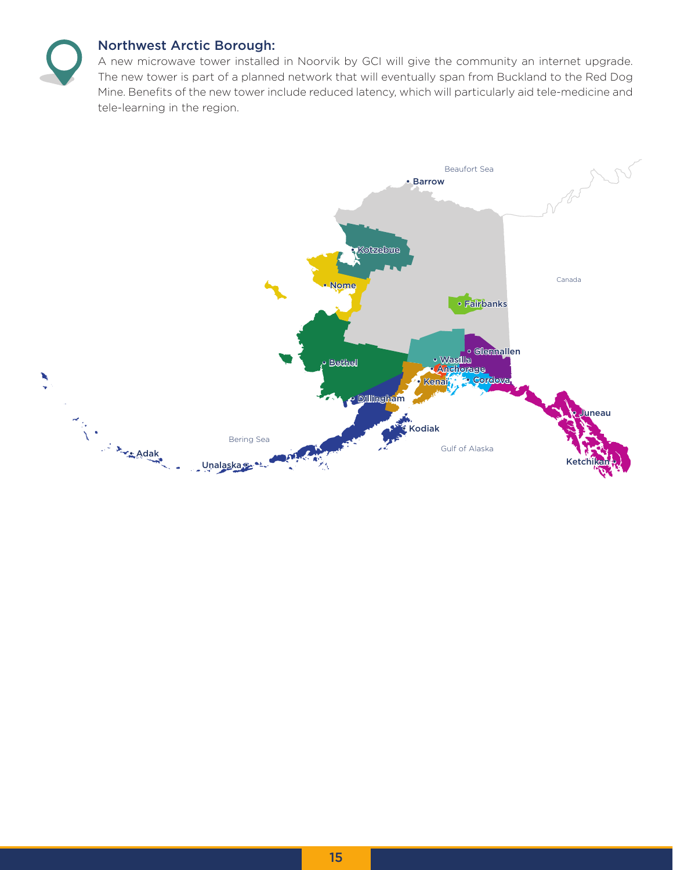

### Northwest Arctic Borough:

A new microwave tower installed in Noorvik by GCI will give the community an internet upgrade. The new tower is part of a planned network that will eventually span from Buckland to the Red Dog Mine. Benefits of the new tower include reduced latency, which will particularly aid tele-medicine and tele-learning in the region.

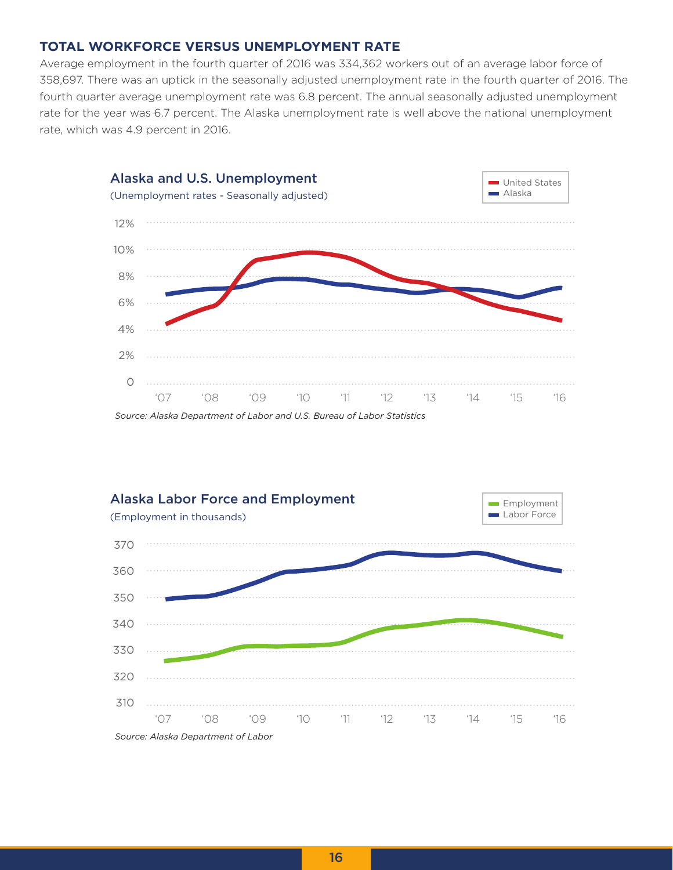### **TOTAL WORKFORCE VERSUS UNEMPLOYMENT RATE**

Average employment in the fourth quarter of 2016 was 334,362 workers out of an average labor force of 358,697. There was an uptick in the seasonally adjusted unemployment rate in the fourth quarter of 2016. The fourth quarter average unemployment rate was 6.8 percent. The annual seasonally adjusted unemployment rate for the year was 6.7 percent. The Alaska unemployment rate is well above the national unemployment rate, which was 4.9 percent in 2016.



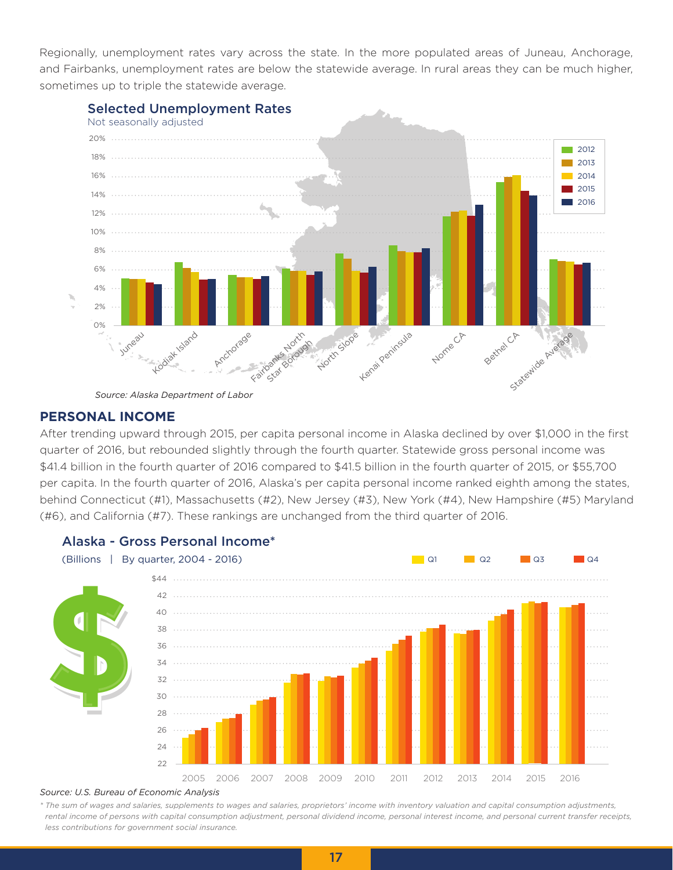Regionally, unemployment rates vary across the state. In the more populated areas of Juneau, Anchorage, and Fairbanks, unemployment rates are below the statewide average. In rural areas they can be much higher, sometimes up to triple the statewide average.



*Source: Alaska Department of Labor*

### **PERSONAL INCOME**

After trending upward through 2015, per capita personal income in Alaska declined by over \$1,000 in the first quarter of 2016, but rebounded slightly through the fourth quarter. Statewide gross personal income was \$41.4 billion in the fourth quarter of 2016 compared to \$41.5 billion in the fourth quarter of 2015, or \$55,700 per capita. In the fourth quarter of 2016, Alaska's per capita personal income ranked eighth among the states, behind Connecticut (#1), Massachusetts (#2), New Jersey (#3), New York (#4), New Hampshire (#5) Maryland (#6), and California (#7). These rankings are unchanged from the third quarter of 2016.



### *Source: U.S. Bureau of Economic Analysis*

*\* The sum of wages and salaries, supplements to wages and salaries, proprietors' income with inventory valuation and capital consumption adjustments, rental income of persons with capital consumption adjustment, personal dividend income, personal interest income, and personal current transfer receipts, less contributions for government social insurance.*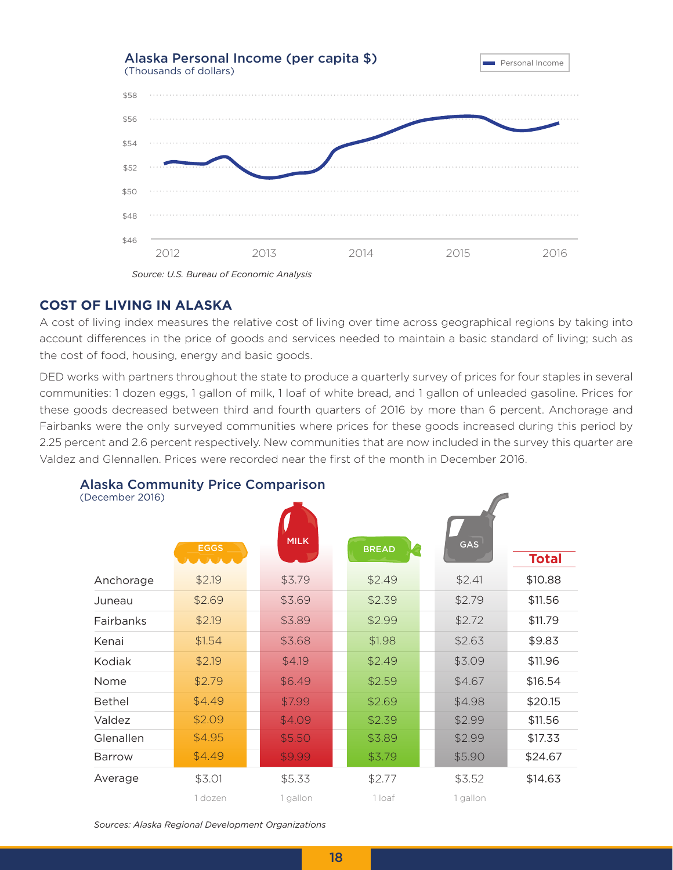

### *Source: U.S. Bureau of Economic Analysis*

### **COST OF LIVING IN ALASKA**

A cost of living index measures the relative cost of living over time across geographical regions by taking into account differences in the price of goods and services needed to maintain a basic standard of living; such as the cost of food, housing, energy and basic goods.

DED works with partners throughout the state to produce a quarterly survey of prices for four staples in several communities: 1 dozen eggs, 1 gallon of milk, 1 loaf of white bread, and 1 gallon of unleaded gasoline. Prices for these goods decreased between third and fourth quarters of 2016 by more than 6 percent. Anchorage and Fairbanks were the only surveyed communities where prices for these goods increased during this period by 2.25 percent and 2.6 percent respectively. New communities that are now included in the survey this quarter are Valdez and Glennallen. Prices were recorded near the first of the month in December 2016.

| (December 2016) | <b>EGGS</b> | <b>MILK</b> | <b>BREAD</b> | GAS      | <b>Total</b> |
|-----------------|-------------|-------------|--------------|----------|--------------|
| Anchorage       | \$2.19      | \$3.79      | \$2.49       | \$2.41   | \$10.88      |
| Juneau          | \$2.69      | \$3.69      | \$2.39       | \$2.79   | \$11.56      |
| Fairbanks       | \$2.19      | \$3.89      | \$2.99       | \$2.72   | \$11.79      |
| Kenai           | \$1.54      | \$3.68      | \$1.98       | \$2.63   | \$9.83       |
| Kodiak          | \$2.19      | \$4.19      | \$2.49       | \$3.09   | \$11.96      |
| Nome            | \$2.79      | \$6.49      | \$2.59       | \$4.67   | \$16.54      |
| <b>Bethel</b>   | \$4.49      | \$7.99      | \$2.69       | \$4.98   | \$20.15      |
| Valdez          | \$2.09      | \$4.09      | \$2.39       | \$2.99   | \$11.56      |
| Glenallen       | \$4.95      | \$5.50      | \$3.89       | \$2.99   | \$17.33      |
| <b>Barrow</b>   | \$4.49      | \$9.99      | \$3.79       | \$5.90   | \$24.67      |
| Average         | \$3.01      | \$5.33      | \$2.77       | \$3.52   | \$14.63      |
|                 | 1 dozen     | 1 gallon    | 1 loaf       | 1 gallon |              |

### Alaska Community Price Comparison

*Sources: Alaska Regional Development Organizations*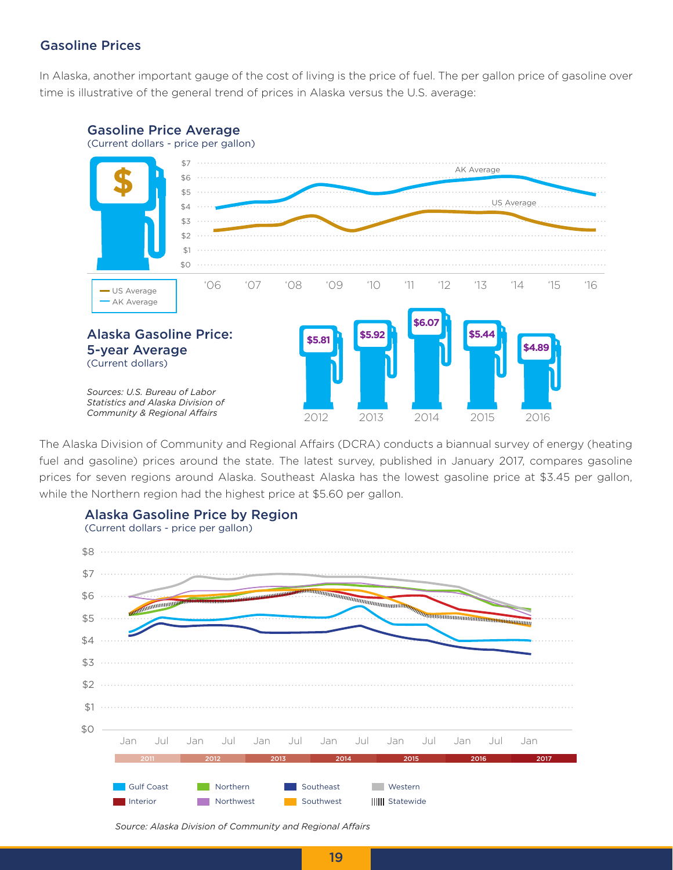### Gasoline Prices

In Alaska, another important gauge of the cost of living is the price of fuel. The per gallon price of gasoline over time is illustrative of the general trend of prices in Alaska versus the U.S. average:



The Alaska Division of Community and Regional Affairs (DCRA) conducts a biannual survey of energy (heating fuel and gasoline) prices around the state. The latest survey, published in January 2017, compares gasoline prices for seven regions around Alaska. Southeast Alaska has the lowest gasoline price at \$3.45 per gallon, while the Northern region had the highest price at \$5.60 per gallon.



Alaska Gasoline Price by Region

*Source: Alaska Division of Community and Regional Affairs*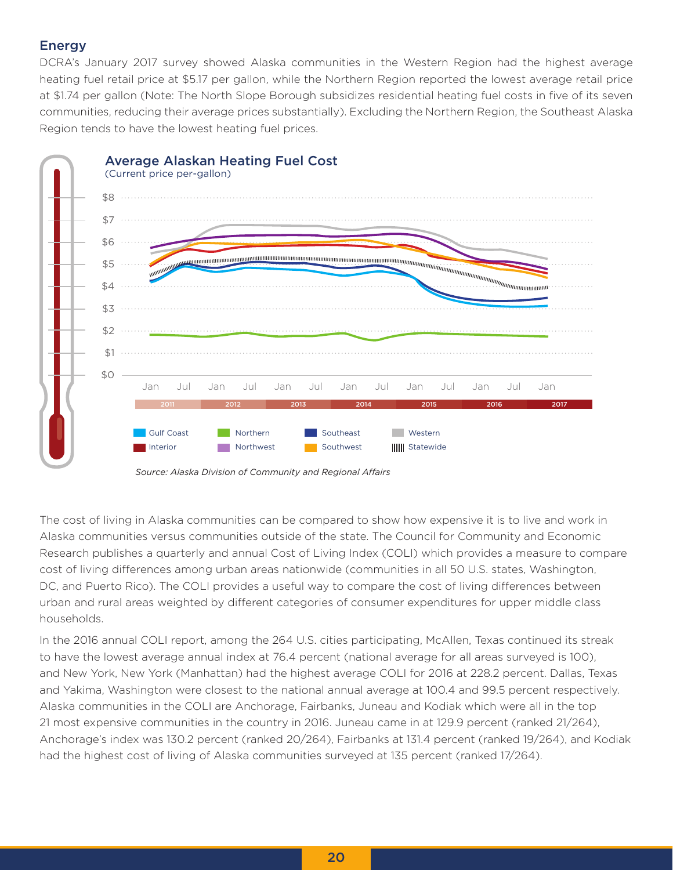### Energy

DCRA's January 2017 survey showed Alaska communities in the Western Region had the highest average heating fuel retail price at \$5.17 per gallon, while the Northern Region reported the lowest average retail price at \$1.74 per gallon (Note: The North Slope Borough subsidizes residential heating fuel costs in five of its seven communities, reducing their average prices substantially). Excluding the Northern Region, the Southeast Alaska Region tends to have the lowest heating fuel prices.



*Source: Alaska Division of Community and Regional Affairs*

The cost of living in Alaska communities can be compared to show how expensive it is to live and work in Alaska communities versus communities outside of the state. The Council for Community and Economic Research publishes a quarterly and annual Cost of Living Index (COLI) which provides a measure to compare cost of living differences among urban areas nationwide (communities in all 50 U.S. states, Washington, DC, and Puerto Rico). The COLI provides a useful way to compare the cost of living differences between urban and rural areas weighted by different categories of consumer expenditures for upper middle class households.

In the 2016 annual COLI report, among the 264 U.S. cities participating, McAllen, Texas continued its streak to have the lowest average annual index at 76.4 percent (national average for all areas surveyed is 100), and New York, New York (Manhattan) had the highest average COLI for 2016 at 228.2 percent. Dallas, Texas and Yakima, Washington were closest to the national annual average at 100.4 and 99.5 percent respectively. Alaska communities in the COLI are Anchorage, Fairbanks, Juneau and Kodiak which were all in the top 21 most expensive communities in the country in 2016. Juneau came in at 129.9 percent (ranked 21/264), Anchorage's index was 130.2 percent (ranked 20/264), Fairbanks at 131.4 percent (ranked 19/264), and Kodiak had the highest cost of living of Alaska communities surveyed at 135 percent (ranked 17/264).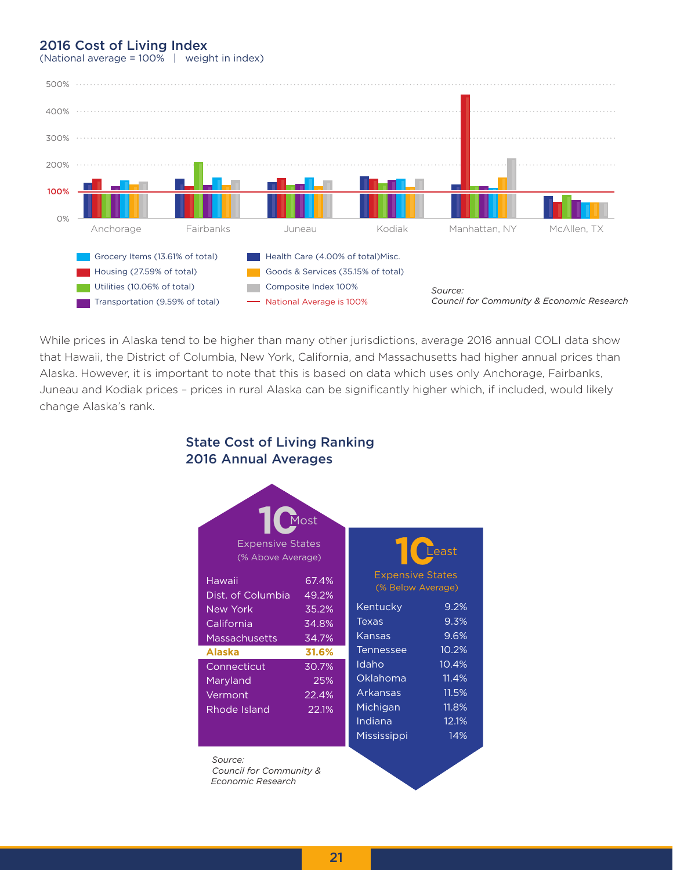### 2016 Cost of Living Index



(National average = 100% | weight in index)

While prices in Alaska tend to be higher than many other jurisdictions, average 2016 annual COLI data show that Hawaii, the District of Columbia, New York, California, and Massachusetts had higher annual prices than Alaska. However, it is important to note that this is based on data which uses only Anchorage, Fairbanks, Juneau and Kodiak prices – prices in rural Alaska can be significantly higher which, if included, would likely change Alaska's rank.

### State Cost of Living Ranking 2016 Annual Averages

| <b>Expensive States</b><br>(% Above Average)                 | Most                             |                                                                          | $\mathsf{\Gamma}_\mathsf{east}$           |
|--------------------------------------------------------------|----------------------------------|--------------------------------------------------------------------------|-------------------------------------------|
| Hawaii<br>Dist. of Columbia<br><b>New York</b><br>California | 67.4%<br>49.2%<br>35.2%<br>34.8% | <b>Expensive States</b><br>(% Below Average)<br>Kentucky<br><b>Texas</b> | 9.2%<br>9.3%                              |
| <b>Massachusetts</b><br><b>Alaska</b>                        | 34.7%<br>31.6%                   | Kansas<br><b>Tennessee</b>                                               | 9.6%<br>10.2%                             |
| Connecticut<br>Maryland<br>Vermont<br>Rhode Island           | 30.7%<br>25%<br>22.4%<br>22.1%   | Idaho<br>Oklahoma<br>Arkansas<br>Michigan<br>Indiana                     | 10.4%<br>11.4%<br>11.5%<br>11.8%<br>12.1% |
| Source:<br><b>Council for Community &amp;</b>                |                                  | Mississippi                                                              | 14%                                       |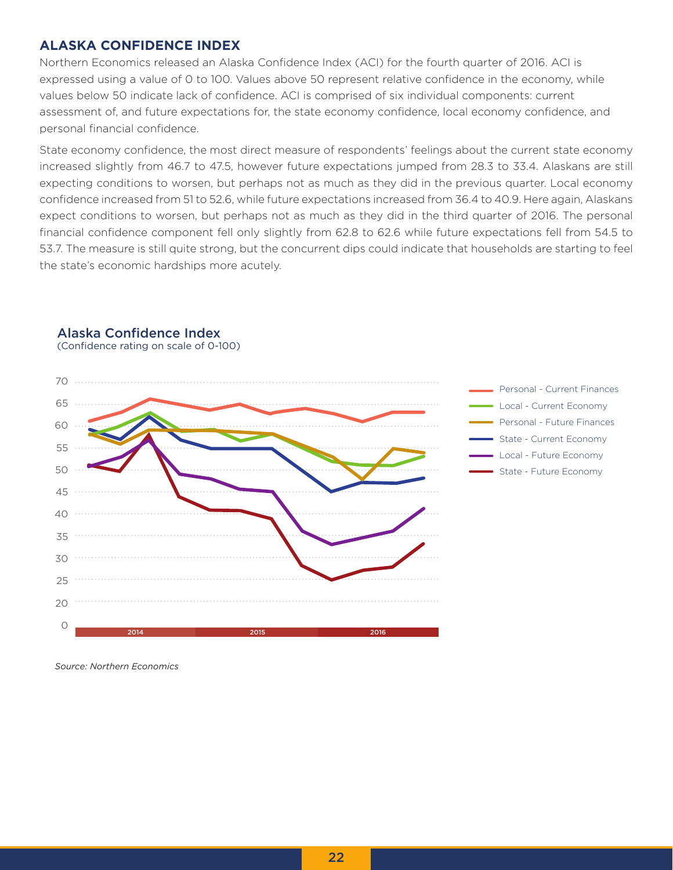### **ALASKA CONFIDENCE INDEX**

Northern Economics released an Alaska Confidence Index (ACI) for the fourth quarter of 2016. ACI is expressed using a value of 0 to 100. Values above 50 represent relative confidence in the economy, while values below 50 indicate lack of confidence. ACI is comprised of six individual components: current assessment of, and future expectations for, the state economy confidence, local economy confidence, and personal financial confidence.

State economy confidence, the most direct measure of respondents' feelings about the current state economy increased slightly from 46.7 to 47.5, however future expectations jumped from 28.3 to 33.4. Alaskans are still expecting conditions to worsen, but perhaps not as much as they did in the previous quarter. Local economy confidence increased from 51 to 52.6, while future expectations increased from 36.4 to 40.9. Here again, Alaskans expect conditions to worsen, but perhaps not as much as they did in the third quarter of 2016. The personal financial confidence component fell only slightly from 62.8 to 62.6 while future expectations fell from 54.5 to 53.7. The measure is still quite strong, but the concurrent dips could indicate that households are starting to feel the state's economic hardships more acutely.



### Alaska Confidence Index (Confidence rating on scale of 0-100)

*Source: Northern Economics*